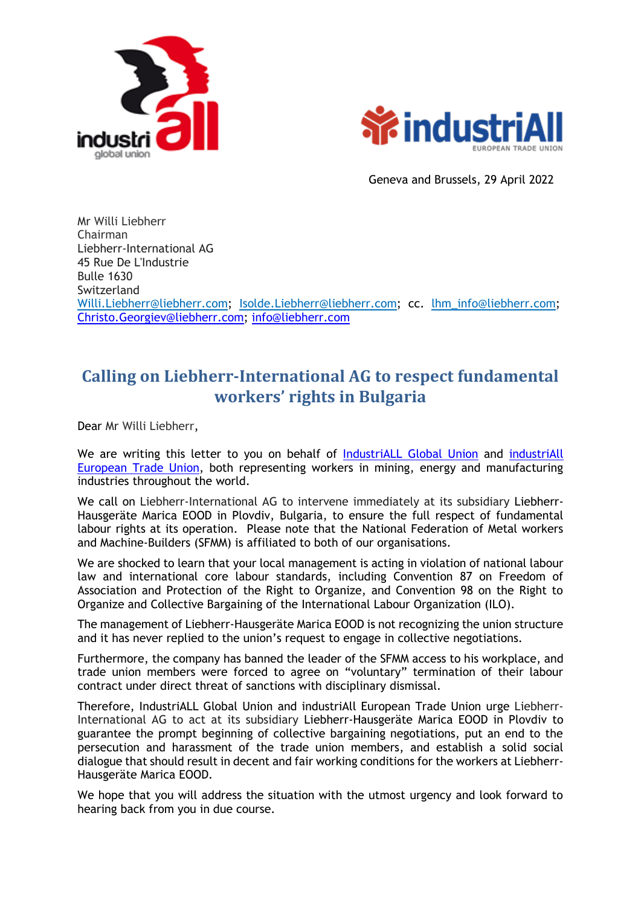



Geneva and Brussels, 29 April 2022

Mr Willi Liebherr Chairman Liebherr-International AG 45 Rue De L'Industrie Bulle 1630 Switzerland [Willi.Liebherr@liebherr.com;](mailto:Willi.Liebherr@liebherr.com) [Isolde.Liebherr@liebherr.com;](mailto:Isolde.Liebherr@liebherr.com) cc. [lhm\\_info@liebherr.com;](mailto:lhm_info@liebherr.com) [Christo.Georgiev@liebherr.com;](mailto:Christo.Georgiev@liebherr.com) [info@liebherr.com](mailto:info@liebherr.com)

## **Calling on Liebherr-International AG to respect fundamental workers' rights in Bulgaria**

Dear Mr Willi Liebherr,

We are writing this letter to you on behalf of [IndustriALL Global Union](http://www.industriall-union.org/) and industriAll [European Trade Union,](http://www.industriall-europe.eu/) both representing workers in mining, energy and manufacturing industries throughout the world.

We call on Liebherr-International AG to intervene immediately at its subsidiary Liebherr-Hausgeräte Marica EOOD in Plovdiv, Bulgaria, to ensure the full respect of fundamental labour rights at its operation. Please note that the National Federation of Metal workers and Machine-Builders (SFMM) is affiliated to both of our organisations.

We are shocked to learn that your local management is acting in violation of national labour law and international core labour standards, including Convention 87 on Freedom of Association and Protection of the Right to Organize, and Convention 98 on the Right to Organize and Collective Bargaining of the International Labour Organization (ILO).

The management of Liebherr-Hausgeräte Marica EOOD is not recognizing the union structure and it has never replied to the union's request to engage in collective negotiations.

Furthermore, the company has banned the leader of the SFMM access to his workplace, and trade union members were forced to agree on "voluntary" termination of their labour contract under direct threat of sanctions with disciplinary dismissal.

Therefore, [IndustriALL Global Union](http://www.industriall-union.org/) and [industriAll European Trade Union](http://www.industriall-europe.eu/) urge Liebherr-International AG to act at its subsidiary Liebherr-Hausgeräte Marica EOOD in Plovdiv to guarantee the prompt beginning of collective bargaining negotiations, put an end to the persecution and harassment of the trade union members, and establish a solid social dialogue that should result in decent and fair working conditions for the workers at Liebherr-Hausgeräte Marica EOOD.

We hope that you will address the situation with the utmost urgency and look forward to hearing back from you in due course.